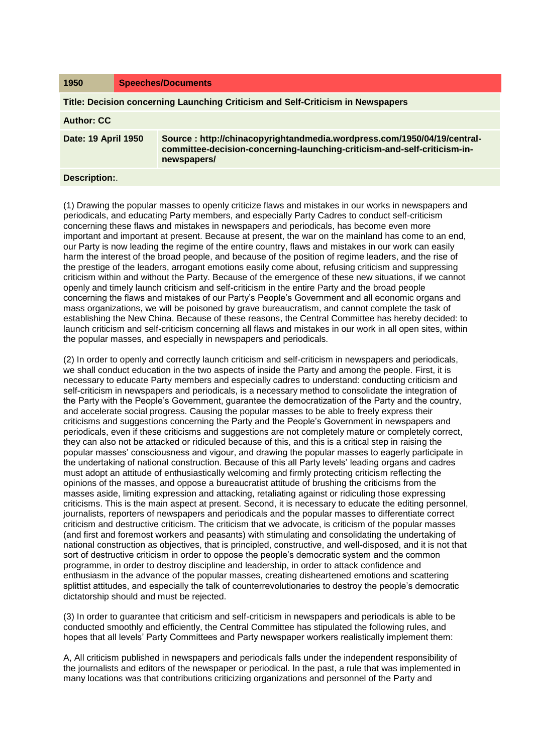| 1950                                                                            | <b>Speeches/Documents</b> |                                                                                                                                                                    |
|---------------------------------------------------------------------------------|---------------------------|--------------------------------------------------------------------------------------------------------------------------------------------------------------------|
| Title: Decision concerning Launching Criticism and Self-Criticism in Newspapers |                           |                                                                                                                                                                    |
| <b>Author: CC</b>                                                               |                           |                                                                                                                                                                    |
| Date: 19 April 1950                                                             |                           | Source: http://chinacopyrightandmedia.wordpress.com/1950/04/19/central-<br>committee-decision-concerning-launching-criticism-and-self-criticism-in-<br>newspapers/ |
|                                                                                 |                           |                                                                                                                                                                    |

## **Description:**.

(1) Drawing the popular masses to openly criticize flaws and mistakes in our works in newspapers and periodicals, and educating Party members, and especially Party Cadres to conduct self-criticism concerning these flaws and mistakes in newspapers and periodicals, has become even more important and important at present. Because at present, the war on the mainland has come to an end, our Party is now leading the regime of the entire country, flaws and mistakes in our work can easily harm the interest of the broad people, and because of the position of regime leaders, and the rise of the prestige of the leaders, arrogant emotions easily come about, refusing criticism and suppressing criticism within and without the Party. Because of the emergence of these new situations, if we cannot openly and timely launch criticism and self-criticism in the entire Party and the broad people concerning the flaws and mistakes of our Party's People's Government and all economic organs and mass organizations, we will be poisoned by grave bureaucratism, and cannot complete the task of establishing the New China. Because of these reasons, the Central Committee has hereby decided: to launch criticism and self-criticism concerning all flaws and mistakes in our work in all open sites, within the popular masses, and especially in newspapers and periodicals.

(2) In order to openly and correctly launch criticism and self-criticism in newspapers and periodicals, we shall conduct education in the two aspects of inside the Party and among the people. First, it is necessary to educate Party members and especially cadres to understand: conducting criticism and self-criticism in newspapers and periodicals, is a necessary method to consolidate the integration of the Party with the People's Government, guarantee the democratization of the Party and the country, and accelerate social progress. Causing the popular masses to be able to freely express their criticisms and suggestions concerning the Party and the People's Government in newspapers and periodicals, even if these criticisms and suggestions are not completely mature or completely correct, they can also not be attacked or ridiculed because of this, and this is a critical step in raising the popular masses' consciousness and vigour, and drawing the popular masses to eagerly participate in the undertaking of national construction. Because of this all Party levels' leading organs and cadres must adopt an attitude of enthusiastically welcoming and firmly protecting criticism reflecting the opinions of the masses, and oppose a bureaucratist attitude of brushing the criticisms from the masses aside, limiting expression and attacking, retaliating against or ridiculing those expressing criticisms. This is the main aspect at present. Second, it is necessary to educate the editing personnel, journalists, reporters of newspapers and periodicals and the popular masses to differentiate correct criticism and destructive criticism. The criticism that we advocate, is criticism of the popular masses (and first and foremost workers and peasants) with stimulating and consolidating the undertaking of national construction as objectives, that is principled, constructive, and well-disposed, and it is not that sort of destructive criticism in order to oppose the people's democratic system and the common programme, in order to destroy discipline and leadership, in order to attack confidence and enthusiasm in the advance of the popular masses, creating disheartened emotions and scattering splittist attitudes, and especially the talk of counterrevolutionaries to destroy the people's democratic dictatorship should and must be rejected.

(3) In order to guarantee that criticism and self-criticism in newspapers and periodicals is able to be conducted smoothly and efficiently, the Central Committee has stipulated the following rules, and hopes that all levels' Party Committees and Party newspaper workers realistically implement them:

A, All criticism published in newspapers and periodicals falls under the independent responsibility of the journalists and editors of the newspaper or periodical. In the past, a rule that was implemented in many locations was that contributions criticizing organizations and personnel of the Party and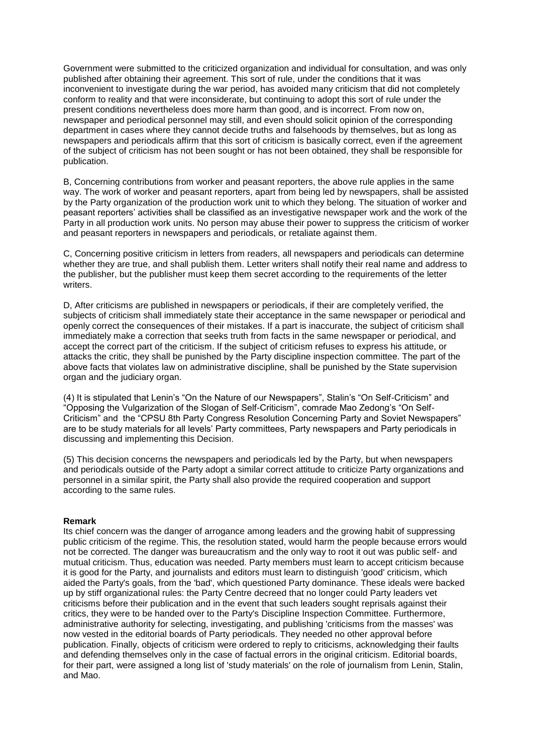Government were submitted to the criticized organization and individual for consultation, and was only published after obtaining their agreement. This sort of rule, under the conditions that it was inconvenient to investigate during the war period, has avoided many criticism that did not completely conform to reality and that were inconsiderate, but continuing to adopt this sort of rule under the present conditions nevertheless does more harm than good, and is incorrect. From now on, newspaper and periodical personnel may still, and even should solicit opinion of the corresponding department in cases where they cannot decide truths and falsehoods by themselves, but as long as newspapers and periodicals affirm that this sort of criticism is basically correct, even if the agreement of the subject of criticism has not been sought or has not been obtained, they shall be responsible for publication.

B, Concerning contributions from worker and peasant reporters, the above rule applies in the same way. The work of worker and peasant reporters, apart from being led by newspapers, shall be assisted by the Party organization of the production work unit to which they belong. The situation of worker and peasant reporters' activities shall be classified as an investigative newspaper work and the work of the Party in all production work units. No person may abuse their power to suppress the criticism of worker and peasant reporters in newspapers and periodicals, or retaliate against them.

C, Concerning positive criticism in letters from readers, all newspapers and periodicals can determine whether they are true, and shall publish them. Letter writers shall notify their real name and address to the publisher, but the publisher must keep them secret according to the requirements of the letter writers.

D, After criticisms are published in newspapers or periodicals, if their are completely verified, the subjects of criticism shall immediately state their acceptance in the same newspaper or periodical and openly correct the consequences of their mistakes. If a part is inaccurate, the subject of criticism shall immediately make a correction that seeks truth from facts in the same newspaper or periodical, and accept the correct part of the criticism. If the subject of criticism refuses to express his attitude, or attacks the critic, they shall be punished by the Party discipline inspection committee. The part of the above facts that violates law on administrative discipline, shall be punished by the State supervision organ and the judiciary organ.

(4) It is stipulated that Lenin's "On the Nature of our Newspapers", Stalin's "On Self-Criticism" and "Opposing the Vulgarization of the Slogan of Self-Criticism", comrade Mao Zedong's "On Self-Criticism" and the "CPSU 8th Party Congress Resolution Concerning Party and Soviet Newspapers" are to be study materials for all levels' Party committees, Party newspapers and Party periodicals in discussing and implementing this Decision.

(5) This decision concerns the newspapers and periodicals led by the Party, but when newspapers and periodicals outside of the Party adopt a similar correct attitude to criticize Party organizations and personnel in a similar spirit, the Party shall also provide the required cooperation and support according to the same rules.

## **Remark**

Its chief concern was the danger of arrogance among leaders and the growing habit of suppressing public criticism of the regime. This, the resolution stated, would harm the people because errors would not be corrected. The danger was bureaucratism and the only way to root it out was public self- and mutual criticism. Thus, education was needed. Party members must learn to accept criticism because it is good for the Party, and journalists and editors must learn to distinguish 'good' criticism, which aided the Party's goals, from the 'bad', which questioned Party dominance. These ideals were backed up by stiff organizational rules: the Party Centre decreed that no longer could Party leaders vet criticisms before their publication and in the event that such leaders sought reprisals against their critics, they were to be handed over to the Party's Discipline Inspection Committee. Furthermore, administrative authority for selecting, investigating, and publishing 'criticisms from the masses' was now vested in the editorial boards of Party periodicals. They needed no other approval before publication. Finally, objects of criticism were ordered to reply to criticisms, acknowledging their faults and defending themselves only in the case of factual errors in the original criticism. Editorial boards, for their part, were assigned a long list of 'study materials' on the role of journalism from Lenin, Stalin, and Mao.